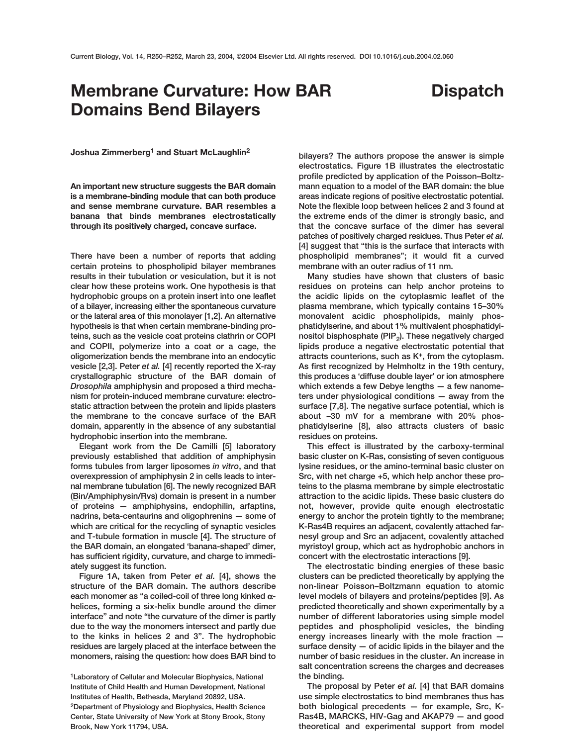## **Membrane Curvature: How BAR Domains Bend Bilayers**

## **Dispatch**

**Joshua Zimmerberg1 and Stuart McLaughlin2**

**An important new structure suggests the BAR domain is a membrane-binding module that can both produce and sense membrane curvature. BAR resembles a banana that binds membranes electrostatically through its positively charged, concave surface.**

**There have been a number of reports that adding certain proteins to phospholipid bilayer membranes results in their tubulation or vesiculation, but it is not clear how these proteins work. One hypothesis is that hydrophobic groups on a protein insert into one leaflet of a bilayer, increasing either the spontaneous curvature or the lateral area of this monolayer [1,2]. An alternative hypothesis is that when certain membrane-binding proteins, such as the vesicle coat proteins clathrin or COPI and COPII, polymerize into a coat or a cage, the oligomerization bends the membrane into an endocytic vesicle [2,3]. Peter** *et al.* **[4] recently reported the X-ray crystallographic structure of the BAR domain of** *Drosophila* **amphiphysin and proposed a third mechanism for protein-induced membrane curvature: electrostatic attraction between the protein and lipids plasters the membrane to the concave surface of the BAR domain, apparently in the absence of any substantial hydrophobic insertion into the membrane.**

**Elegant work from the De Camilli [5] laboratory previously established that addition of amphiphysin forms tubules from larger liposomes** *in vitro***, and that overexpression of amphiphysin 2 in cells leads to internal membrane tubulation [6]. The newly recognized BAR (Bin/Amphiphysin/Rvs) domain is present in a number of proteins — amphiphysins, endophilin, arfaptins, nadrins, beta-centaurins and oligophrenins — some of which are critical for the recycling of synaptic vesicles and T-tubule formation in muscle [4]. The structure of the BAR domain, an elongated 'banana-shaped' dimer, has sufficient rigidity, curvature, and charge to immediately suggest its function.**

**Figure 1A, taken from Peter** *et al.* **[4], shows the structure of the BAR domain. The authors describe each monomer as "a coiled-coil of three long kinked** α**helices, forming a six-helix bundle around the dimer interface" and note "the curvature of the dimer is partly due to the way the monomers intersect and partly due to the kinks in helices 2 and 3". The hydrophobic residues are largely placed at the interface between the monomers, raising the question: how does BAR bind to**

**1Laboratory of Cellular and Molecular Biophysics, National Institute of Child Health and Human Development, National Institutes of Health, Bethesda, Maryland 20892, USA. 2Department of Physiology and Biophysics, Health Science Center, State University of New York at Stony Brook, Stony Brook, New York 11794, USA.**

**bilayers? The authors propose the answer is simple electrostatics. Figure 1B illustrates the electrostatic profile predicted by application of the Poisson–Boltzmann equation to a model of the BAR domain: the blue areas indicate regions of positive electrostatic potential. Note the flexible loop between helices 2 and 3 found at the extreme ends of the dimer is strongly basic, and that the concave surface of the dimer has several patches of positively charged residues. Thus Peter** *et al.* **[4] suggest that "this is the surface that interacts with phospholipid membranes"; it would fit a curved membrane with an outer radius of 11 nm.** 

**Many studies have shown that clusters of basic residues on proteins can help anchor proteins to the acidic lipids on the cytoplasmic leaflet of the plasma membrane, which typically contains 15–30% monovalent acidic phospholipids, mainly phosphatidylserine, and about 1% multivalent phosphatidyi**nositol bisphosphate (PIP<sub>2</sub>). These negatively charged **lipids produce a negative electrostatic potential that attracts counterions, such as K+, from the cytoplasm. As first recognized by Helmholtz in the 19th century, this produces a 'diffuse double layer' or ion atmosphere which extends a few Debye lengths — a few nanometers under physiological conditions — away from the surface [7,8]. The negative surface potential, which is about –30 mV for a membrane with 20% phosphatidylserine [8], also attracts clusters of basic residues on proteins.** 

**This effect is illustrated by the carboxy-terminal basic cluster on K-Ras, consisting of seven contiguous lysine residues, or the amino-terminal basic cluster on Src, with net charge +5, which help anchor these proteins to the plasma membrane by simple electrostatic attraction to the acidic lipids. These basic clusters do not, however, provide quite enough electrostatic energy to anchor the protein tightly to the membrane; K-Ras4B requires an adjacent, covalently attached farnesyl group and Src an adjacent, covalently attached myristoyl group, which act as hydrophobic anchors in concert with the electrostatic interactions [9].** 

**The electrostatic binding energies of these basic clusters can be predicted theoretically by applying the non-linear Poisson–Boltzmann equation to atomic level models of bilayers and proteins/peptides [9]. As predicted theoretically and shown experimentally by a number of different laboratories using simple model peptides and phospholipid vesicles, the binding energy increases linearly with the mole fraction surface density — of acidic lipids in the bilayer and the number of basic residues in the cluster. An increase in salt concentration screens the charges and decreases the binding.** 

**The proposal by Peter** *et al.* **[4] that BAR domains use simple electrostatics to bind membranes thus has both biological precedents — for example, Src, K-Ras4B, MARCKS, HIV-Gag and AKAP79 — and good theoretical and experimental support from model**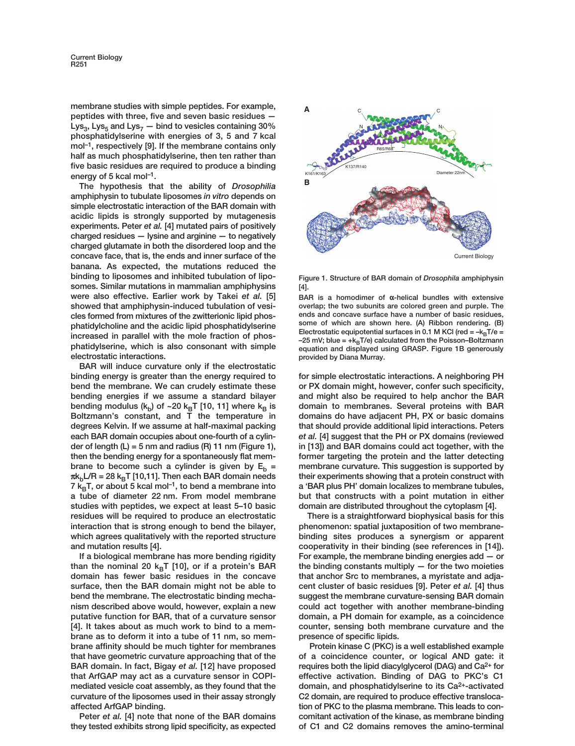**membrane studies with simple peptides. For example, peptides with three, five and seven basic residues —**  $Lys<sub>3</sub>$ , Lys<sub>5</sub> and Lys<sub>7</sub>  $-$  bind to vesicles containing 30% **phosphatidylserine with energies of 3, 5 and 7 kcal mol–1, respectively [9]. If the membrane contains only half as much phosphatidylserine, then ten rather than five basic residues are required to produce a binding energy of 5 kcal mol–1.**

**The hypothesis that the ability of** *Drosophilia* **amphiphysin to tubulate liposomes** *in vitro* **depends on simple electrostatic interaction of the BAR domain with acidic lipids is strongly supported by mutagenesis experiments. Peter** *et al.* **[4] mutated pairs of positively charged residues — lysine and arginine — to negatively charged glutamate in both the disordered loop and the concave face, that is, the ends and inner surface of the banana. As expected, the mutations reduced the binding to liposomes and inhibited tubulation of liposomes. Similar mutations in mammalian amphiphysins were also effective. Earlier work by Takei** *et al.* **[5] showed that amphiphysin-induced tubulation of vesicles formed from mixtures of the zwitterionic lipid phosphatidylcholine and the acidic lipid phosphatidylserine increased in parallel with the mole fraction of phosphatidylserine, which is also consonant with simple electrostatic interactions.**

**BAR will induce curvature only if the electrostatic binding energy is greater than the energy required to bend the membrane. We can crudely estimate these bending energies if we assume a standard bilayer** bending modulus  $(k_b)$  of ~20  $k_B T$  [10, 11] where  $k_B$  is **Boltzmann's constant, and T the temperature in degrees Kelvin. If we assume at half-maximal packing each BAR domain occupies about one-fourth of a cylinder of length (L) = 5 nm and radius (R) 11 nm (Figure 1), then the bending energy for a spontaneously flat membrane to become such a cylinder is given by**  $E_b =$  $\pi$ k<sub>b</sub>L/R = 28 k<sub>B</sub>T [10,11]. Then each BAR domain needs  $7 \text{ k}_{\text{B}}$ T, or about 5 kcal mol<sup>-1</sup>, to bend a membrane into **a tube of diameter 22 nm. From model membrane studies with peptides, we expect at least 5–10 basic residues will be required to produce an electrostatic interaction that is strong enough to bend the bilayer, which agrees qualitatively with the reported structure and mutation results [4].**

**If a biological membrane has more bending rigidity** than the nominal 20  $k_BT$  [10], or if a protein's BAR **domain has fewer basic residues in the concave surface, then the BAR domain might not be able to bend the membrane. The electrostatic binding mechanism described above would, however, explain a new putative function for BAR, that of a curvature sensor [4]. It takes about as much work to bind to a membrane as to deform it into a tube of 11 nm, so membrane affinity should be much tighter for membranes that have geometric curvature approaching that of the BAR domain. In fact, Bigay** *et al.* **[12] have proposed that ArfGAP may act as a curvature sensor in COPImediated vesicle coat assembly, as they found that the curvature of the liposomes used in their assay strongly affected ArfGAP binding.**

**Peter** *et al.* **[4] note that none of the BAR domains they tested exhibits strong lipid specificity, as expected**



**Figure 1. Structure of BAR domain of** *Drosophila* **amphiphysin [4].** 

**BAR is a homodimer of** α**-helical bundles with extensive overlap; the two subunits are colored green and purple. The ends and concave surface have a number of basic residues, some of which are shown here. (A) Ribbon rendering. (B) Electrostatic equipotential surfaces in 0.1 M KCl (red =**  $-k_B T/e =$  $-25$  mV; blue =  $+k_B T/e$ ) calculated from the Poisson–Boltzmann **equation and displayed using GRASP. Figure 1B generously provided by Diana Murray.**

**for simple electrostatic interactions. A neighboring PH or PX domain might, however, confer such specificity, and might also be required to help anchor the BAR domain to membranes. Several proteins with BAR domains do have adjacent PH, PX or basic domains that should provide additional lipid interactions. Peters** *et al.* **[4] suggest that the PH or PX domains (reviewed in [13]) and BAR domains could act together, with the former targeting the protein and the latter detecting membrane curvature. This suggestion is supported by their experiments showing that a protein construct with a 'BAR plus PH' domain localizes to membrane tubules, but that constructs with a point mutation in either domain are distributed throughout the cytoplasm [4].** 

**There is a straightforward biophysical basis for this phenomenon: spatial juxtaposition of two membranebinding sites produces a synergism or apparent cooperativity in their binding (see references in [14]). For example, the membrane binding energies add — or the binding constants multiply — for the two moieties that anchor Src to membranes, a myristate and adjacent cluster of basic residues [9]. Peter** *et al.* **[4] thus suggest the membrane curvature-sensing BAR domain could act together with another membrane-binding domain, a PH domain for example, as a coincidence counter, sensing both membrane curvature and the presence of specific lipids.**

**Protein kinase C (PKC) is a well established example of a coincidence counter, or logical AND gate: it requires both the lipid diacylglycerol (DAG) and Ca2+ for effective activation. Binding of DAG to PKC's C1 domain, and phosphatidylserine to its Ca2+-activated C2 domain, are required to produce effective translocation of PKC to the plasma membrane. This leads to concomitant activation of the kinase, as membrane binding of C1 and C2 domains removes the amino-terminal**